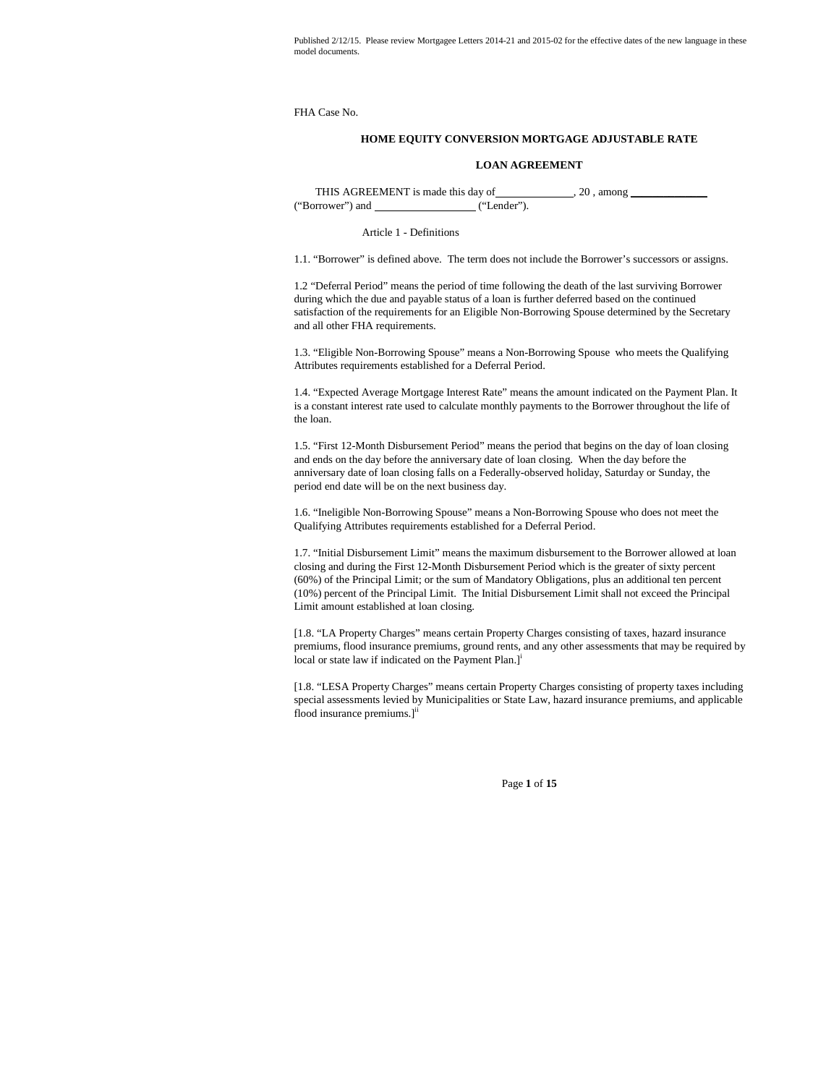FHA Case No.

# **HOME EQUITY CONVERSION MORTGAGE ADJUSTABLE RATE**

#### **LOAN AGREEMENT**

THIS AGREEMENT is made this day of , 20 , among \_\_\_\_\_\_\_\_\_\_\_\_\_\_ ("Borrower") and ("Lender").

Article 1 - Definitions

1.1. "Borrower" is defined above. The term does not include the Borrower's successors or assigns.

1.2 "Deferral Period" means the period of time following the death of the last surviving Borrower during which the due and payable status of a loan is further deferred based on the continued satisfaction of the requirements for an Eligible Non-Borrowing Spouse determined by the Secretary and all other FHA requirements.

1.3. "Eligible Non-Borrowing Spouse" means a Non-Borrowing Spouse who meets the Qualifying Attributes requirements established for a Deferral Period.

1.4. "Expected Average Mortgage Interest Rate" means the amount indicated on the Payment Plan. It is a constant interest rate used to calculate monthly payments to the Borrower throughout the life of the loan.

1.5. "First 12-Month Disbursement Period" means the period that begins on the day of loan closing and ends on the day before the anniversary date of loan closing. When the day before the anniversary date of loan closing falls on a Federally-observed holiday, Saturday or Sunday, the period end date will be on the next business day.

1.6. "Ineligible Non-Borrowing Spouse" means a Non-Borrowing Spouse who does not meet the Qualifying Attributes requirements established for a Deferral Period.

1.7. "Initial Disbursement Limit" means the maximum disbursement to the Borrower allowed at loan closing and during the First 12-Month Disbursement Period which is the greater of sixty percent (60%) of the Principal Limit; or the sum of Mandatory Obligations, plus an additional ten percent (10%) percent of the Principal Limit. The Initial Disbursement Limit shall not exceed the Principal Limit amount established at loan closing.

[1.8. "LA Property Charges" means certain Property Charges consisting of taxes, hazard insurance premiums, flood insurance premiums, ground rents, and any other assessments that may be required by local or state law if indicated on the Payment Plan.]<sup>i</sup>

[1.8. "LESA Property Charges" means certain Property Charges consisting of property taxes including special assessments levied by Municipalities or State Law, hazard insurance premiums, and applicable flood insurance premiums.<sup>1ii</sup>

Page **1** of **15**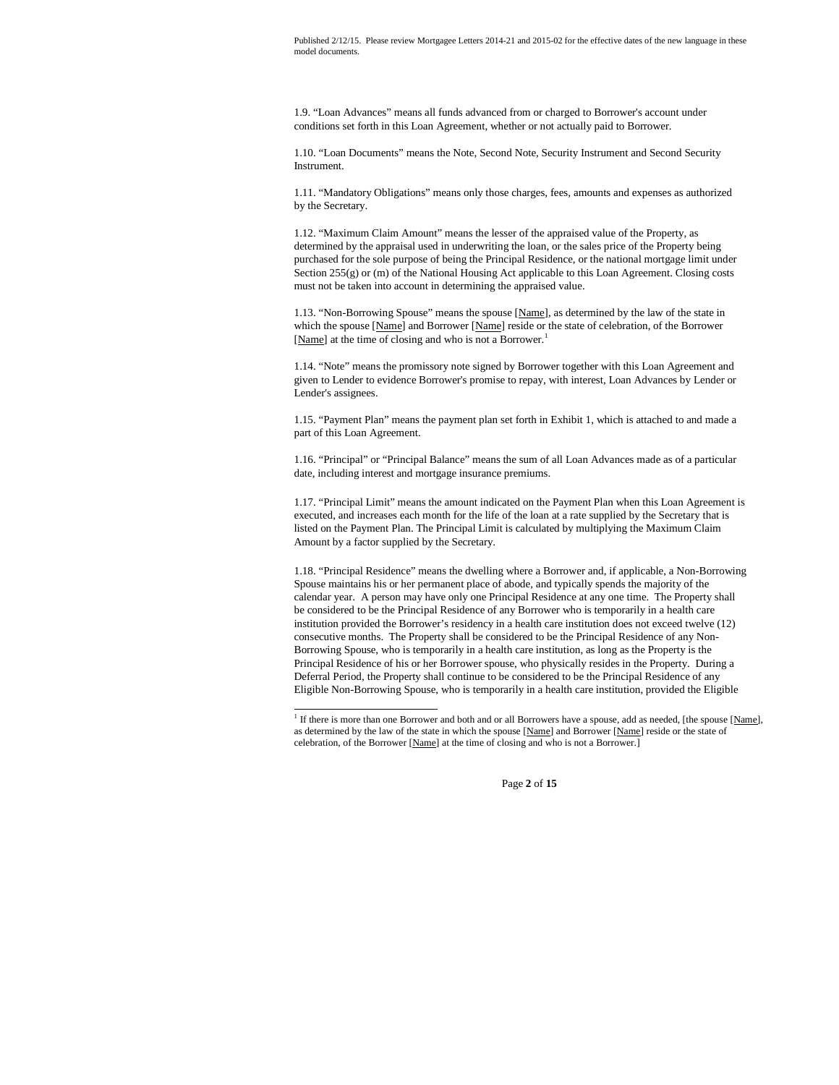1.9. "Loan Advances" means all funds advanced from or charged to Borrower's account under conditions set forth in this Loan Agreement, whether or not actually paid to Borrower.

1.10. "Loan Documents" means the Note, Second Note, Security Instrument and Second Security Instrument.

1.11. "Mandatory Obligations" means only those charges, fees, amounts and expenses as authorized by the Secretary.

1.12. "Maximum Claim Amount" means the lesser of the appraised value of the Property, as determined by the appraisal used in underwriting the loan, or the sales price of the Property being purchased for the sole purpose of being the Principal Residence, or the national mortgage limit under Section 255(g) or (m) of the National Housing Act applicable to this Loan Agreement. Closing costs must not be taken into account in determining the appraised value.

1.13. "Non-Borrowing Spouse" means the spouse [Name], as determined by the law of the state in which the spouse [Name] and Borrower [Name] reside or the state of celebration, of the Borrower [Name] at the time of closing and who is not a Borrower.<sup>1</sup>

1.14. "Note" means the promissory note signed by Borrower together with this Loan Agreement and given to Lender to evidence Borrower's promise to repay, with interest, Loan Advances by Lender or Lender's assignees.

1.15. "Payment Plan" means the payment plan set forth in Exhibit 1, which is attached to and made a part of this Loan Agreement.

1.16. "Principal" or "Principal Balance" means the sum of all Loan Advances made as of a particular date, including interest and mortgage insurance premiums.

1.17. "Principal Limit" means the amount indicated on the Payment Plan when this Loan Agreement is executed, and increases each month for the life of the loan at a rate supplied by the Secretary that is listed on the Payment Plan. The Principal Limit is calculated by multiplying the Maximum Claim Amount by a factor supplied by the Secretary.

1.18. "Principal Residence" means the dwelling where a Borrower and, if applicable, a Non-Borrowing Spouse maintains his or her permanent place of abode, and typically spends the majority of the calendar year. A person may have only one Principal Residence at any one time. The Property shall be considered to be the Principal Residence of any Borrower who is temporarily in a health care institution provided the Borrower's residency in a health care institution does not exceed twelve (12) consecutive months. The Property shall be considered to be the Principal Residence of any Non-Borrowing Spouse, who is temporarily in a health care institution, as long as the Property is the Principal Residence of his or her Borrower spouse, who physically resides in the Property. During a Deferral Period, the Property shall continue to be considered to be the Principal Residence of any Eligible Non-Borrowing Spouse, who is temporarily in a health care institution, provided the Eligible

Page **2** of **15**

<sup>&</sup>lt;sup>1</sup> If there is more than one Borrower and both and or all Borrowers have a spouse, add as needed, [the spouse [Name], as determined by the law of the state in which the spouse [Name] and Borrower [Name] reside or the state of celebration, of the Borrower [Name] at the time of closing and who is not a Borrower.]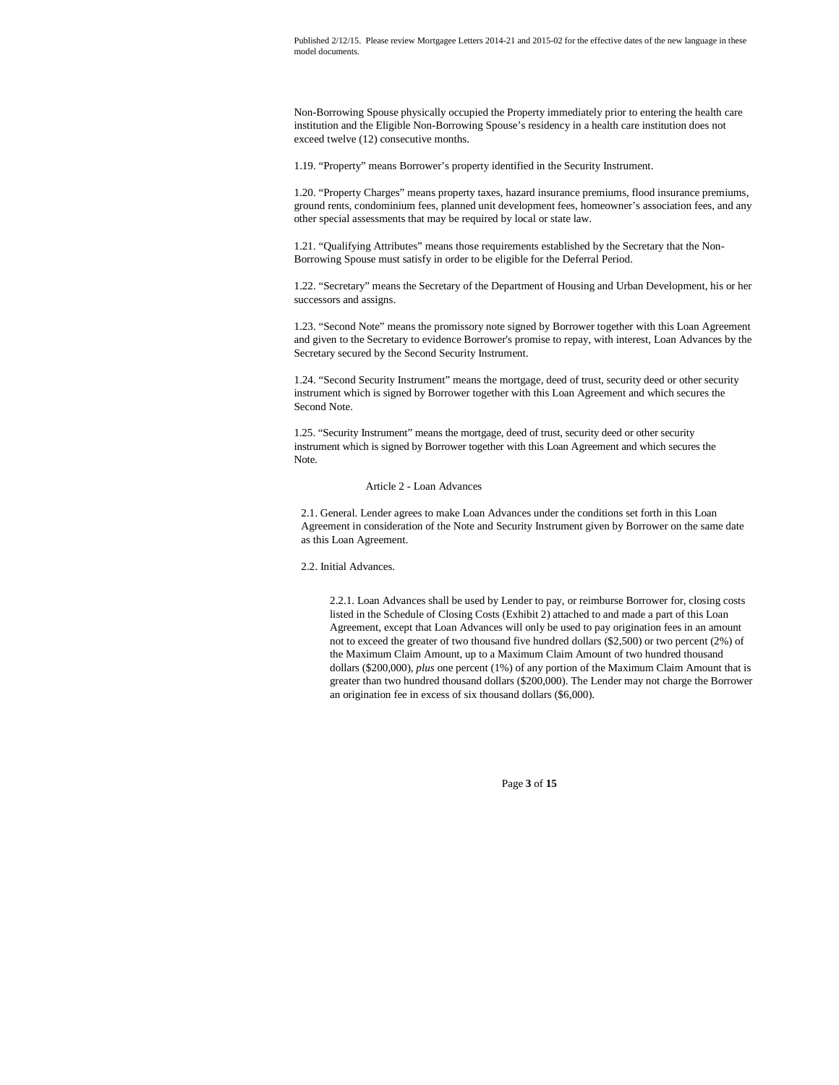Non-Borrowing Spouse physically occupied the Property immediately prior to entering the health care institution and the Eligible Non-Borrowing Spouse's residency in a health care institution does not exceed twelve (12) consecutive months.

1.19. "Property" means Borrower's property identified in the Security Instrument.

1.20. "Property Charges" means property taxes, hazard insurance premiums, flood insurance premiums, ground rents, condominium fees, planned unit development fees, homeowner's association fees, and any other special assessments that may be required by local or state law.

1.21. "Qualifying Attributes" means those requirements established by the Secretary that the Non-Borrowing Spouse must satisfy in order to be eligible for the Deferral Period.

1.22. "Secretary" means the Secretary of the Department of Housing and Urban Development, his or her successors and assigns.

1.23. "Second Note" means the promissory note signed by Borrower together with this Loan Agreement and given to the Secretary to evidence Borrower's promise to repay, with interest, Loan Advances by the Secretary secured by the Second Security Instrument.

1.24. "Second Security Instrument" means the mortgage, deed of trust, security deed or other security instrument which is signed by Borrower together with this Loan Agreement and which secures the Second Note.

1.25. "Security Instrument" means the mortgage, deed of trust, security deed or other security instrument which is signed by Borrower together with this Loan Agreement and which secures the Note.

## Article 2 - Loan Advances

2.1. General. Lender agrees to make Loan Advances under the conditions set forth in this Loan Agreement in consideration of the Note and Security Instrument given by Borrower on the same date as this Loan Agreement.

2.2. Initial Advances.

2.2.1. Loan Advances shall be used by Lender to pay, or reimburse Borrower for, closing costs listed in the Schedule of Closing Costs (Exhibit 2) attached to and made a part of this Loan Agreement, except that Loan Advances will only be used to pay origination fees in an amount not to exceed the greater of two thousand five hundred dollars (\$2,500) or two percent (2%) of the Maximum Claim Amount, up to a Maximum Claim Amount of two hundred thousand dollars (\$200,000), *plus* one percent (1%) of any portion of the Maximum Claim Amount that is greater than two hundred thousand dollars (\$200,000). The Lender may not charge the Borrower an origination fee in excess of six thousand dollars (\$6,000).

Page **3** of **15**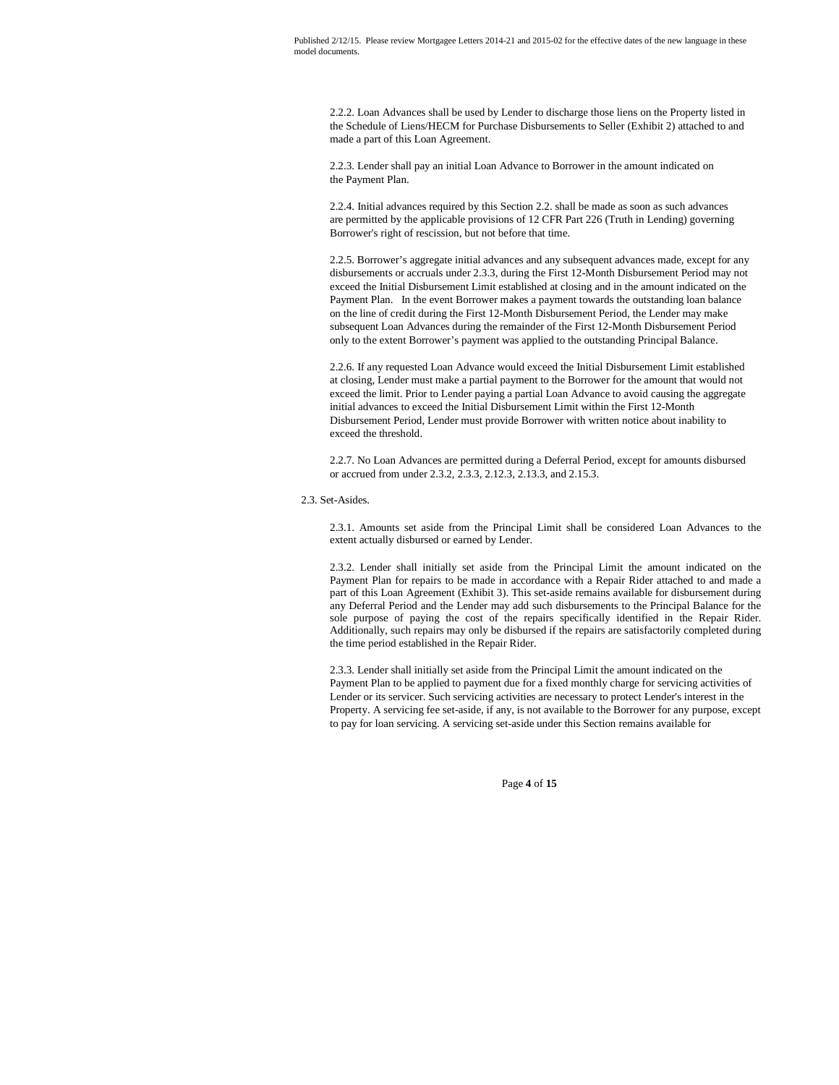2.2.2. Loan Advances shall be used by Lender to discharge those liens on the Property listed in the Schedule of Liens/HECM for Purchase Disbursements to Seller (Exhibit 2) attached to and made a part of this Loan Agreement.

2.2.3. Lender shall pay an initial Loan Advance to Borrower in the amount indicated on the Payment Plan.

2.2.4. Initial advances required by this Section 2.2. shall be made as soon as such advances are permitted by the applicable provisions of 12 CFR Part 226 (Truth in Lending) governing Borrower's right of rescission, but not before that time.

2.2.5. Borrower's aggregate initial advances and any subsequent advances made, except for any disbursements or accruals under 2.3.3, during the First 12-Month Disbursement Period may not exceed the Initial Disbursement Limit established at closing and in the amount indicated on the Payment Plan. In the event Borrower makes a payment towards the outstanding loan balance on the line of credit during the First 12-Month Disbursement Period, the Lender may make subsequent Loan Advances during the remainder of the First 12-Month Disbursement Period only to the extent Borrower's payment was applied to the outstanding Principal Balance.

2.2.6. If any requested Loan Advance would exceed the Initial Disbursement Limit established at closing, Lender must make a partial payment to the Borrower for the amount that would not exceed the limit. Prior to Lender paying a partial Loan Advance to avoid causing the aggregate initial advances to exceed the Initial Disbursement Limit within the First 12-Month Disbursement Period, Lender must provide Borrower with written notice about inability to exceed the threshold.

2.2.7. No Loan Advances are permitted during a Deferral Period, except for amounts disbursed or accrued from under 2.3.2, 2.3.3, 2.12.3, 2.13.3, and 2.15.3.

## 2.3. Set-Asides.

2.3.1. Amounts set aside from the Principal Limit shall be considered Loan Advances to the extent actually disbursed or earned by Lender.

2.3.2. Lender shall initially set aside from the Principal Limit the amount indicated on the Payment Plan for repairs to be made in accordance with a Repair Rider attached to and made a part of this Loan Agreement (Exhibit 3). This set-aside remains available for disbursement during any Deferral Period and the Lender may add such disbursements to the Principal Balance for the sole purpose of paying the cost of the repairs specifically identified in the Repair Rider. Additionally, such repairs may only be disbursed if the repairs are satisfactorily completed during the time period established in the Repair Rider.

2.3.3. Lender shall initially set aside from the Principal Limit the amount indicated on the Payment Plan to be applied to payment due for a fixed monthly charge for servicing activities of Lender or its servicer. Such servicing activities are necessary to protect Lender's interest in the Property. A servicing fee set-aside, if any, is not available to the Borrower for any purpose, except to pay for loan servicing. A servicing set-aside under this Section remains available for

Page **4** of **15**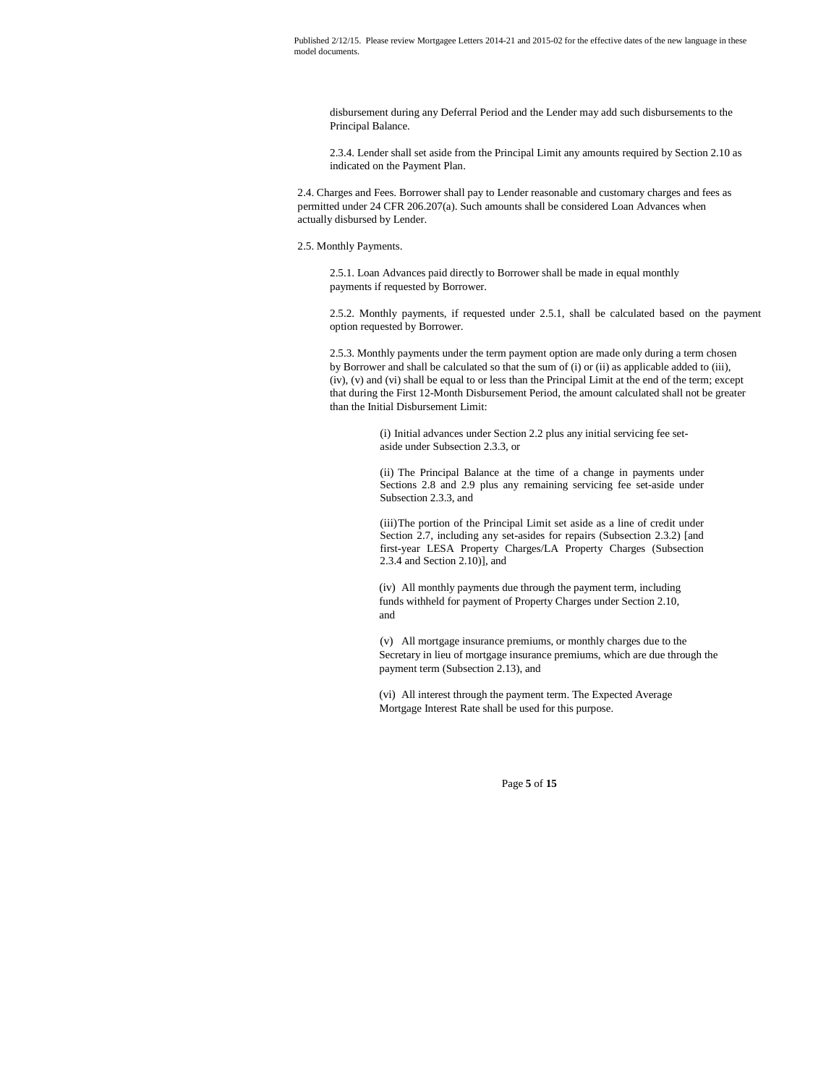disbursement during any Deferral Period and the Lender may add such disbursements to the Principal Balance.

2.3.4. Lender shall set aside from the Principal Limit any amounts required by Section 2.10 as indicated on the Payment Plan.

2.4. Charges and Fees. Borrower shall pay to Lender reasonable and customary charges and fees as permitted under 24 CFR 206.207(a). Such amounts shall be considered Loan Advances when actually disbursed by Lender.

## 2.5. Monthly Payments.

2.5.1. Loan Advances paid directly to Borrower shall be made in equal monthly payments if requested by Borrower.

2.5.2. Monthly payments, if requested under 2.5.1, shall be calculated based on the payment option requested by Borrower.

2.5.3. Monthly payments under the term payment option are made only during a term chosen by Borrower and shall be calculated so that the sum of (i) or (ii) as applicable added to (iii), (iv), (v) and (vi) shall be equal to or less than the Principal Limit at the end of the term; except that during the First 12-Month Disbursement Period, the amount calculated shall not be greater than the Initial Disbursement Limit:

> (i) Initial advances under Section 2.2 plus any initial servicing fee setaside under Subsection 2.3.3, or

(ii) The Principal Balance at the time of a change in payments under Sections 2.8 and 2.9 plus any remaining servicing fee set-aside under Subsection 2.3.3, and

(iii)The portion of the Principal Limit set aside as a line of credit under Section 2.7, including any set-asides for repairs (Subsection 2.3.2) [and first-year LESA Property Charges/LA Property Charges (Subsection 2.3.4 and Section 2.10)], and

(iv) All monthly payments due through the payment term, including funds withheld for payment of Property Charges under Section 2.10, and

(v) All mortgage insurance premiums, or monthly charges due to the Secretary in lieu of mortgage insurance premiums, which are due through the payment term (Subsection 2.13), and

(vi) All interest through the payment term. The Expected Average Mortgage Interest Rate shall be used for this purpose.

Page **5** of **15**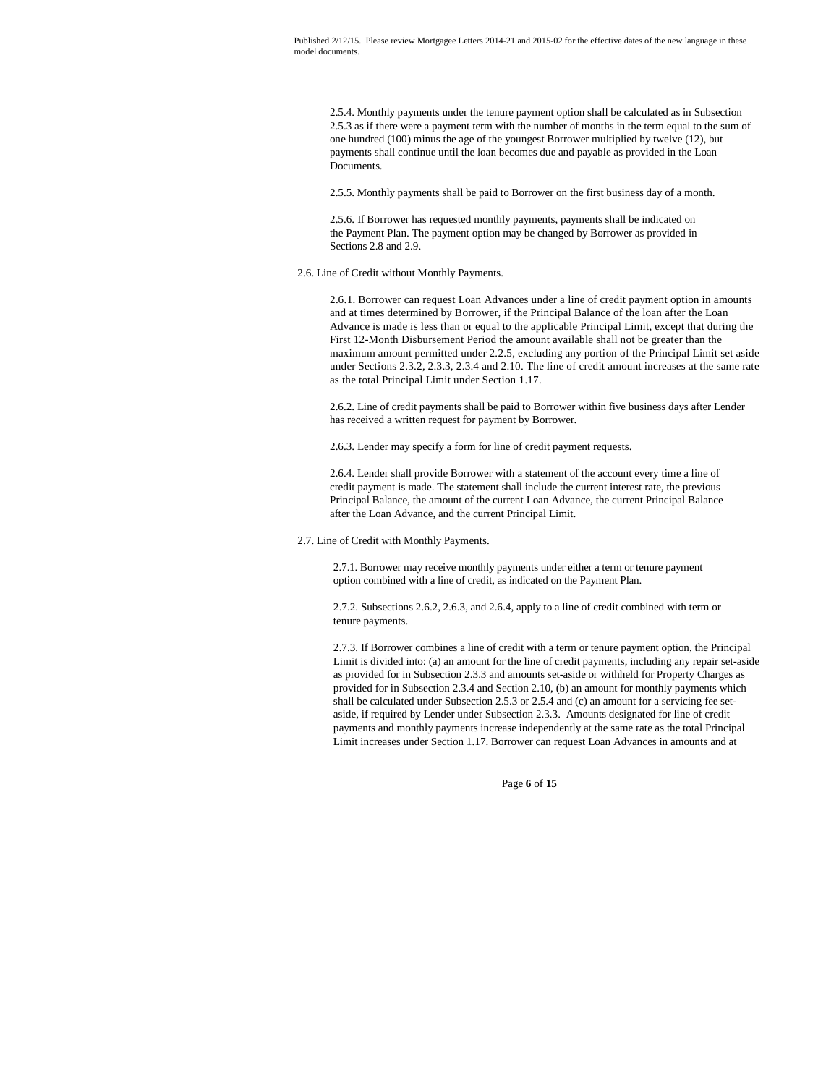2.5.4. Monthly payments under the tenure payment option shall be calculated as in Subsection 2.5.3 as if there were a payment term with the number of months in the term equal to the sum of one hundred (100) minus the age of the youngest Borrower multiplied by twelve (12), but payments shall continue until the loan becomes due and payable as provided in the Loan Documents.

2.5.5. Monthly payments shall be paid to Borrower on the first business day of a month.

2.5.6. If Borrower has requested monthly payments, payments shall be indicated on the Payment Plan. The payment option may be changed by Borrower as provided in Sections 2.8 and 2.9.

2.6. Line of Credit without Monthly Payments.

2.6.1. Borrower can request Loan Advances under a line of credit payment option in amounts and at times determined by Borrower, if the Principal Balance of the loan after the Loan Advance is made is less than or equal to the applicable Principal Limit, except that during the First 12-Month Disbursement Period the amount available shall not be greater than the maximum amount permitted under 2.2.5, excluding any portion of the Principal Limit set aside under Sections 2.3.2, 2.3.3, 2.3.4 and 2.10. The line of credit amount increases at the same rate as the total Principal Limit under Section 1.17.

2.6.2. Line of credit payments shall be paid to Borrower within five business days after Lender has received a written request for payment by Borrower.

2.6.3. Lender may specify a form for line of credit payment requests.

2.6.4. Lender shall provide Borrower with a statement of the account every time a line of credit payment is made. The statement shall include the current interest rate, the previous Principal Balance, the amount of the current Loan Advance, the current Principal Balance after the Loan Advance, and the current Principal Limit.

2.7. Line of Credit with Monthly Payments.

2.7.1. Borrower may receive monthly payments under either a term or tenure payment option combined with a line of credit, as indicated on the Payment Plan.

2.7.2. Subsections 2.6.2, 2.6.3, and 2.6.4, apply to a line of credit combined with term or tenure payments.

2.7.3. If Borrower combines a line of credit with a term or tenure payment option, the Principal Limit is divided into: (a) an amount for the line of credit payments, including any repair set-aside as provided for in Subsection 2.3.3 and amounts set-aside or withheld for Property Charges as provided for in Subsection 2.3.4 and Section 2.10, (b) an amount for monthly payments which shall be calculated under Subsection 2.5.3 or 2.5.4 and (c) an amount for a servicing fee setaside, if required by Lender under Subsection 2.3.3. Amounts designated for line of credit payments and monthly payments increase independently at the same rate as the total Principal Limit increases under Section 1.17. Borrower can request Loan Advances in amounts and at

Page **6** of **15**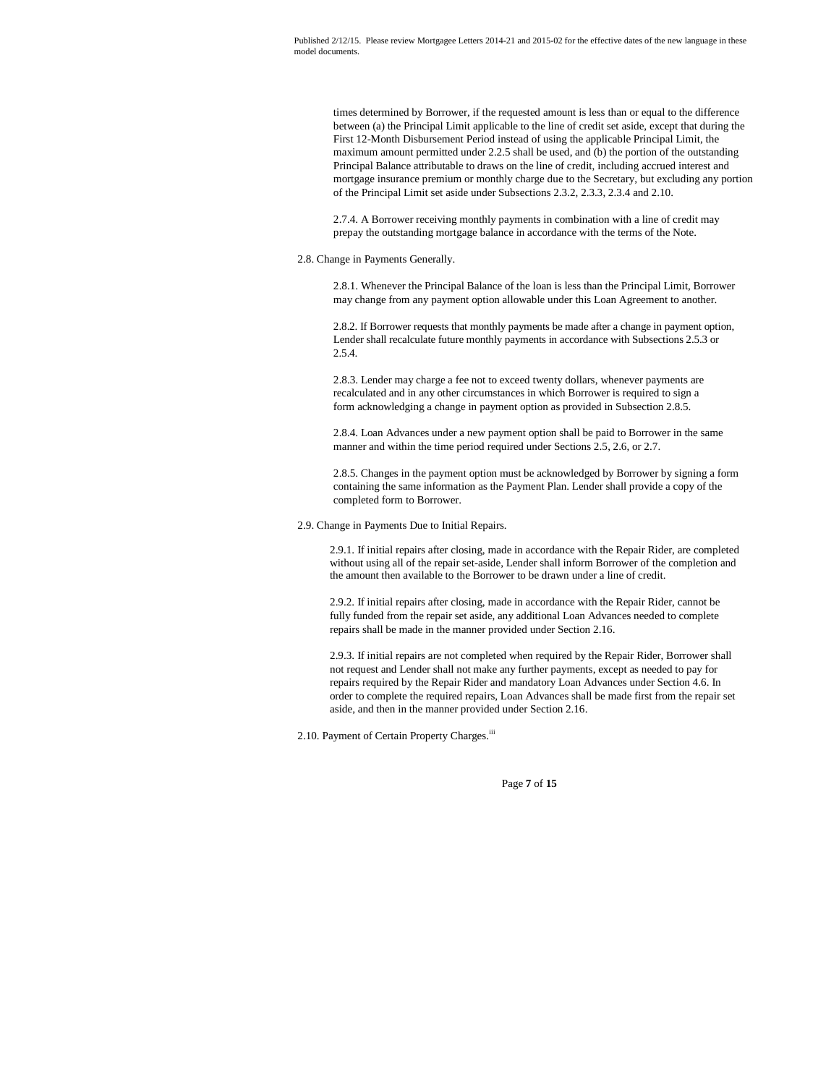times determined by Borrower, if the requested amount is less than or equal to the difference between (a) the Principal Limit applicable to the line of credit set aside, except that during the First 12-Month Disbursement Period instead of using the applicable Principal Limit, the maximum amount permitted under 2.2.5 shall be used, and (b) the portion of the outstanding Principal Balance attributable to draws on the line of credit, including accrued interest and mortgage insurance premium or monthly charge due to the Secretary, but excluding any portion of the Principal Limit set aside under Subsections 2.3.2, 2.3.3, 2.3.4 and 2.10.

2.7.4. A Borrower receiving monthly payments in combination with a line of credit may prepay the outstanding mortgage balance in accordance with the terms of the Note.

2.8. Change in Payments Generally.

2.8.1. Whenever the Principal Balance of the loan is less than the Principal Limit, Borrower may change from any payment option allowable under this Loan Agreement to another.

2.8.2. If Borrower requests that monthly payments be made after a change in payment option, Lender shall recalculate future monthly payments in accordance with Subsections 2.5.3 or 2.5.4.

2.8.3. Lender may charge a fee not to exceed twenty dollars, whenever payments are recalculated and in any other circumstances in which Borrower is required to sign a form acknowledging a change in payment option as provided in Subsection 2.8.5.

2.8.4. Loan Advances under a new payment option shall be paid to Borrower in the same manner and within the time period required under Sections 2.5, 2.6, or 2.7.

2.8.5. Changes in the payment option must be acknowledged by Borrower by signing a form containing the same information as the Payment Plan. Lender shall provide a copy of the completed form to Borrower.

## 2.9. Change in Payments Due to Initial Repairs.

2.9.1. If initial repairs after closing, made in accordance with the Repair Rider, are completed without using all of the repair set-aside, Lender shall inform Borrower of the completion and the amount then available to the Borrower to be drawn under a line of credit.

2.9.2. If initial repairs after closing, made in accordance with the Repair Rider, cannot be fully funded from the repair set aside, any additional Loan Advances needed to complete repairs shall be made in the manner provided under Section 2.16.

2.9.3. If initial repairs are not completed when required by the Repair Rider, Borrower shall not request and Lender shall not make any further payments, except as needed to pay for repairs required by the Repair Rider and mandatory Loan Advances under Section 4.6. In order to complete the required repairs, Loan Advances shall be made first from the repair set aside, and then in the manner provided under Section 2.16.

2.10. Payment of Certain Property Charges.<sup>iii</sup>

Page **7** of **15**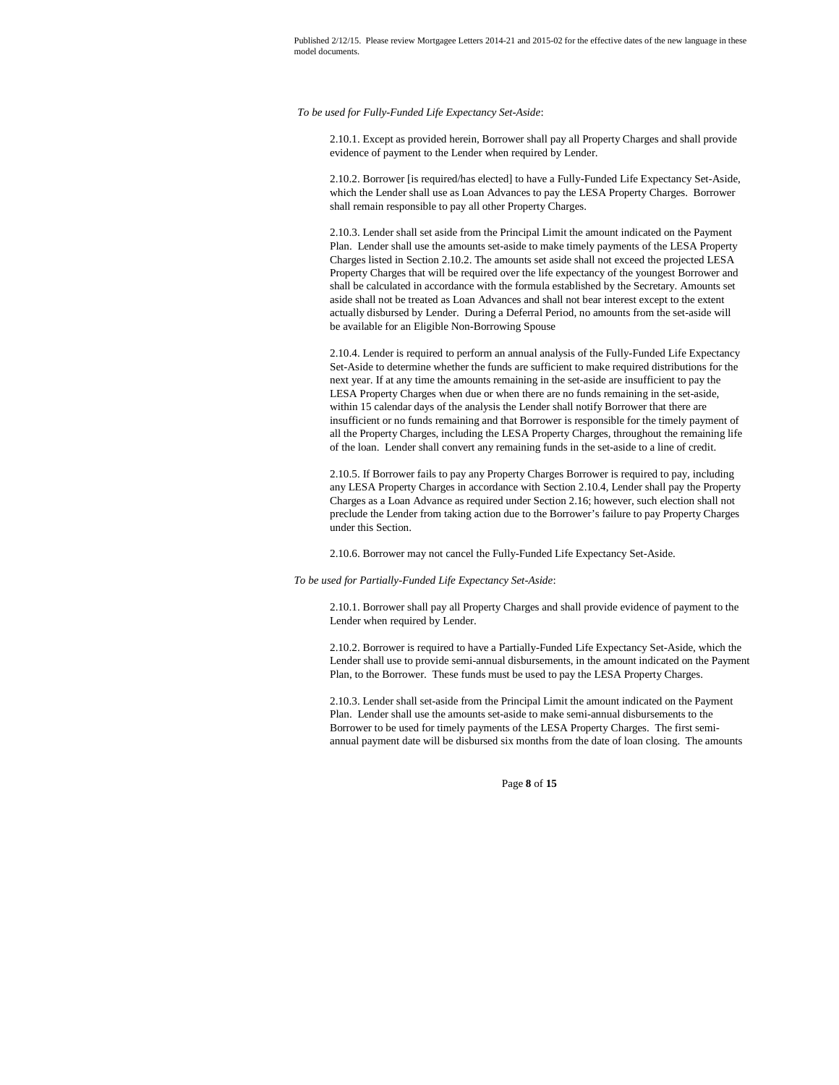*To be used for Fully-Funded Life Expectancy Set-Aside*:

2.10.1. Except as provided herein, Borrower shall pay all Property Charges and shall provide evidence of payment to the Lender when required by Lender.

2.10.2. Borrower [is required/has elected] to have a Fully-Funded Life Expectancy Set-Aside, which the Lender shall use as Loan Advances to pay the LESA Property Charges. Borrower shall remain responsible to pay all other Property Charges.

2.10.3. Lender shall set aside from the Principal Limit the amount indicated on the Payment Plan. Lender shall use the amounts set-aside to make timely payments of the LESA Property Charges listed in Section 2.10.2. The amounts set aside shall not exceed the projected LESA Property Charges that will be required over the life expectancy of the youngest Borrower and shall be calculated in accordance with the formula established by the Secretary. Amounts set aside shall not be treated as Loan Advances and shall not bear interest except to the extent actually disbursed by Lender. During a Deferral Period, no amounts from the set-aside will be available for an Eligible Non-Borrowing Spouse

2.10.4. Lender is required to perform an annual analysis of the Fully-Funded Life Expectancy Set-Aside to determine whether the funds are sufficient to make required distributions for the next year. If at any time the amounts remaining in the set-aside are insufficient to pay the LESA Property Charges when due or when there are no funds remaining in the set-aside, within 15 calendar days of the analysis the Lender shall notify Borrower that there are insufficient or no funds remaining and that Borrower is responsible for the timely payment of all the Property Charges, including the LESA Property Charges, throughout the remaining life of the loan. Lender shall convert any remaining funds in the set-aside to a line of credit.

2.10.5. If Borrower fails to pay any Property Charges Borrower is required to pay, including any LESA Property Charges in accordance with Section 2.10.4, Lender shall pay the Property Charges as a Loan Advance as required under Section 2.16; however, such election shall not preclude the Lender from taking action due to the Borrower's failure to pay Property Charges under this Section.

2.10.6. Borrower may not cancel the Fully-Funded Life Expectancy Set-Aside.

#### *To be used for Partially-Funded Life Expectancy Set-Aside*:

2.10.1. Borrower shall pay all Property Charges and shall provide evidence of payment to the Lender when required by Lender.

2.10.2. Borrower is required to have a Partially-Funded Life Expectancy Set-Aside, which the Lender shall use to provide semi-annual disbursements, in the amount indicated on the Payment Plan, to the Borrower. These funds must be used to pay the LESA Property Charges.

2.10.3. Lender shall set-aside from the Principal Limit the amount indicated on the Payment Plan. Lender shall use the amounts set-aside to make semi-annual disbursements to the Borrower to be used for timely payments of the LESA Property Charges. The first semiannual payment date will be disbursed six months from the date of loan closing. The amounts

Page **8** of **15**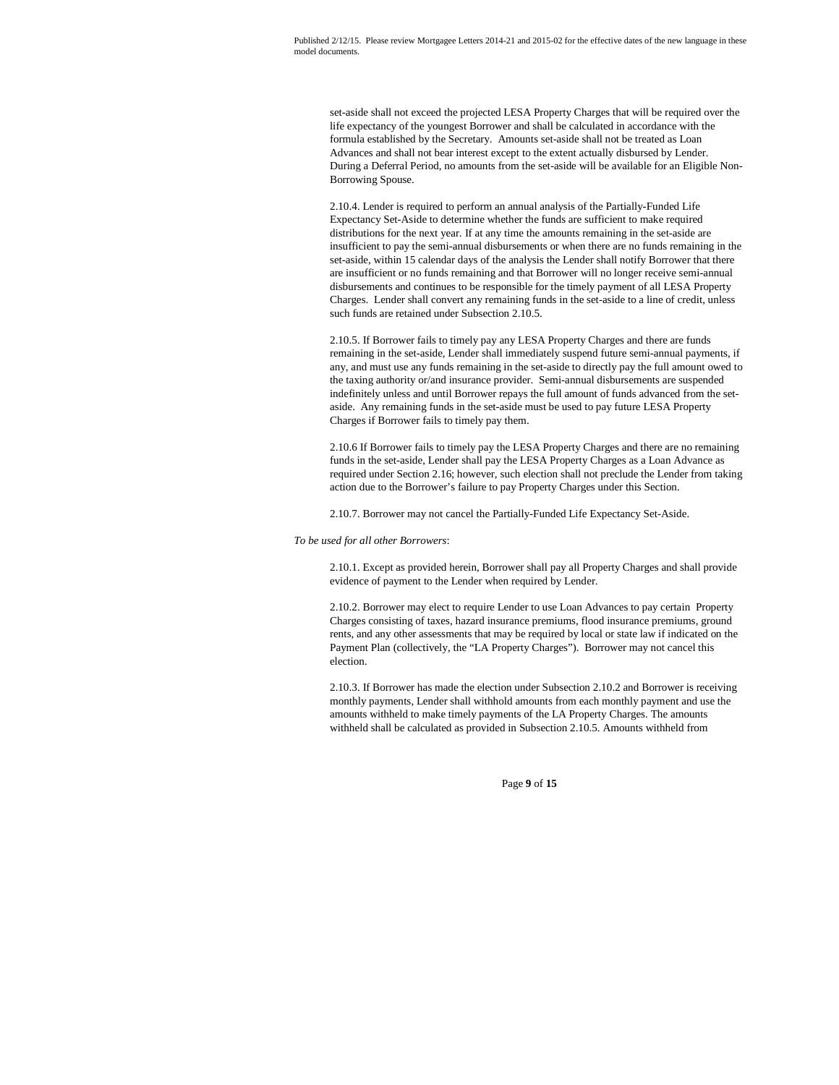set-aside shall not exceed the projected LESA Property Charges that will be required over the life expectancy of the youngest Borrower and shall be calculated in accordance with the formula established by the Secretary. Amounts set-aside shall not be treated as Loan Advances and shall not bear interest except to the extent actually disbursed by Lender. During a Deferral Period, no amounts from the set-aside will be available for an Eligible Non-Borrowing Spouse.

2.10.4. Lender is required to perform an annual analysis of the Partially-Funded Life Expectancy Set-Aside to determine whether the funds are sufficient to make required distributions for the next year. If at any time the amounts remaining in the set-aside are insufficient to pay the semi-annual disbursements or when there are no funds remaining in the set-aside, within 15 calendar days of the analysis the Lender shall notify Borrower that there are insufficient or no funds remaining and that Borrower will no longer receive semi-annual disbursements and continues to be responsible for the timely payment of all LESA Property Charges. Lender shall convert any remaining funds in the set-aside to a line of credit, unless such funds are retained under Subsection 2.10.5.

2.10.5. If Borrower fails to timely pay any LESA Property Charges and there are funds remaining in the set-aside, Lender shall immediately suspend future semi-annual payments, if any, and must use any funds remaining in the set-aside to directly pay the full amount owed to the taxing authority or/and insurance provider. Semi-annual disbursements are suspended indefinitely unless and until Borrower repays the full amount of funds advanced from the setaside. Any remaining funds in the set-aside must be used to pay future LESA Property Charges if Borrower fails to timely pay them.

2.10.6 If Borrower fails to timely pay the LESA Property Charges and there are no remaining funds in the set-aside, Lender shall pay the LESA Property Charges as a Loan Advance as required under Section 2.16; however, such election shall not preclude the Lender from taking action due to the Borrower's failure to pay Property Charges under this Section.

2.10.7. Borrower may not cancel the Partially-Funded Life Expectancy Set-Aside.

*To be used for all other Borrowers*:

2.10.1. Except as provided herein, Borrower shall pay all Property Charges and shall provide evidence of payment to the Lender when required by Lender.

2.10.2. Borrower may elect to require Lender to use Loan Advances to pay certain Property Charges consisting of taxes, hazard insurance premiums, flood insurance premiums, ground rents, and any other assessments that may be required by local or state law if indicated on the Payment Plan (collectively, the "LA Property Charges"). Borrower may not cancel this election.

2.10.3. If Borrower has made the election under Subsection 2.10.2 and Borrower is receiving monthly payments, Lender shall withhold amounts from each monthly payment and use the amounts withheld to make timely payments of the LA Property Charges. The amounts withheld shall be calculated as provided in Subsection 2.10.5. Amounts withheld from

Page **9** of **15**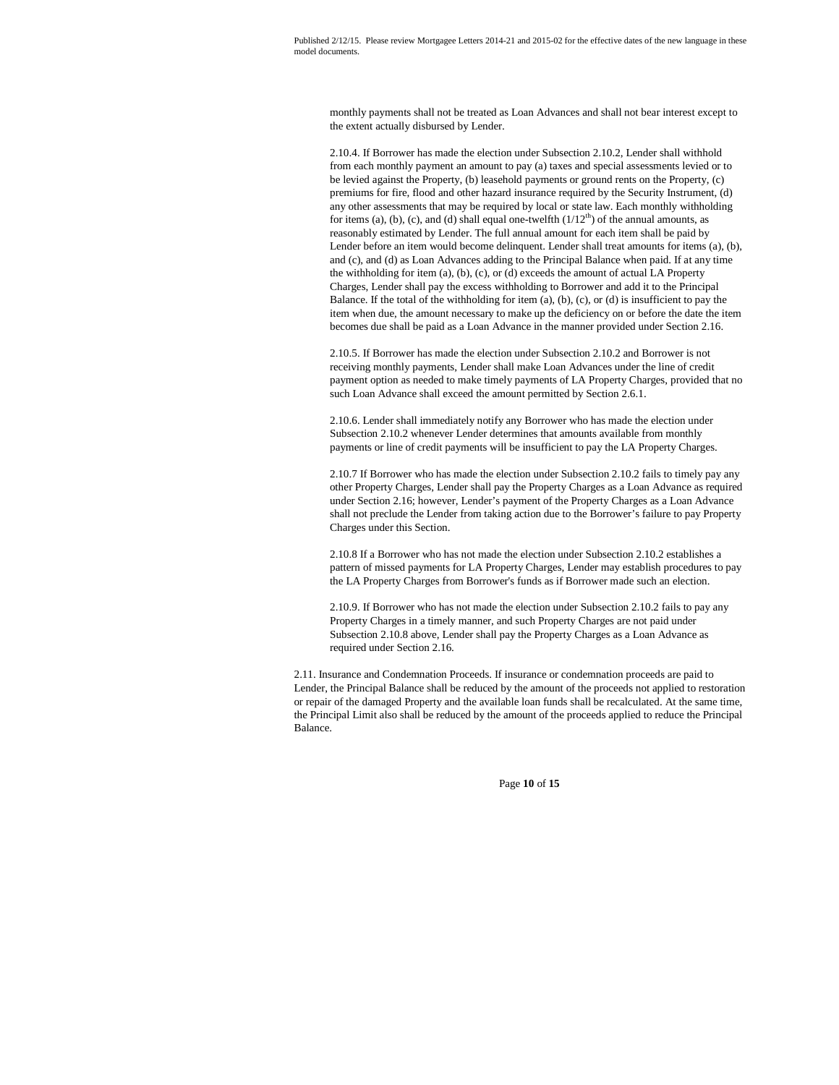monthly payments shall not be treated as Loan Advances and shall not bear interest except to the extent actually disbursed by Lender.

2.10.4. If Borrower has made the election under Subsection 2.10.2, Lender shall withhold from each monthly payment an amount to pay (a) taxes and special assessments levied or to be levied against the Property, (b) leasehold payments or ground rents on the Property, (c) premiums for fire, flood and other hazard insurance required by the Security Instrument, (d) any other assessments that may be required by local or state law. Each monthly withholding for items (a), (b), (c), and (d) shall equal one-twelfth  $(1/12<sup>th</sup>)$  of the annual amounts, as reasonably estimated by Lender. The full annual amount for each item shall be paid by Lender before an item would become delinquent. Lender shall treat amounts for items (a), (b), and (c), and (d) as Loan Advances adding to the Principal Balance when paid. If at any time the withholding for item (a), (b), (c), or (d) exceeds the amount of actual LA Property Charges, Lender shall pay the excess withholding to Borrower and add it to the Principal Balance. If the total of the withholding for item (a), (b), (c), or (d) is insufficient to pay the item when due, the amount necessary to make up the deficiency on or before the date the item becomes due shall be paid as a Loan Advance in the manner provided under Section 2.16.

2.10.5. If Borrower has made the election under Subsection 2.10.2 and Borrower is not receiving monthly payments, Lender shall make Loan Advances under the line of credit payment option as needed to make timely payments of LA Property Charges, provided that no such Loan Advance shall exceed the amount permitted by Section 2.6.1.

2.10.6. Lender shall immediately notify any Borrower who has made the election under Subsection 2.10.2 whenever Lender determines that amounts available from monthly payments or line of credit payments will be insufficient to pay the LA Property Charges.

2.10.7 If Borrower who has made the election under Subsection 2.10.2 fails to timely pay any other Property Charges, Lender shall pay the Property Charges as a Loan Advance as required under Section 2.16; however, Lender's payment of the Property Charges as a Loan Advance shall not preclude the Lender from taking action due to the Borrower's failure to pay Property Charges under this Section.

2.10.8 If a Borrower who has not made the election under Subsection 2.10.2 establishes a pattern of missed payments for LA Property Charges, Lender may establish procedures to pay the LA Property Charges from Borrower's funds as if Borrower made such an election.

2.10.9. If Borrower who has not made the election under Subsection 2.10.2 fails to pay any Property Charges in a timely manner, and such Property Charges are not paid under Subsection 2.10.8 above, Lender shall pay the Property Charges as a Loan Advance as required under Section 2.16.

2.11. Insurance and Condemnation Proceeds. If insurance or condemnation proceeds are paid to Lender, the Principal Balance shall be reduced by the amount of the proceeds not applied to restoration or repair of the damaged Property and the available loan funds shall be recalculated. At the same time, the Principal Limit also shall be reduced by the amount of the proceeds applied to reduce the Principal Balance.

Page **10** of **15**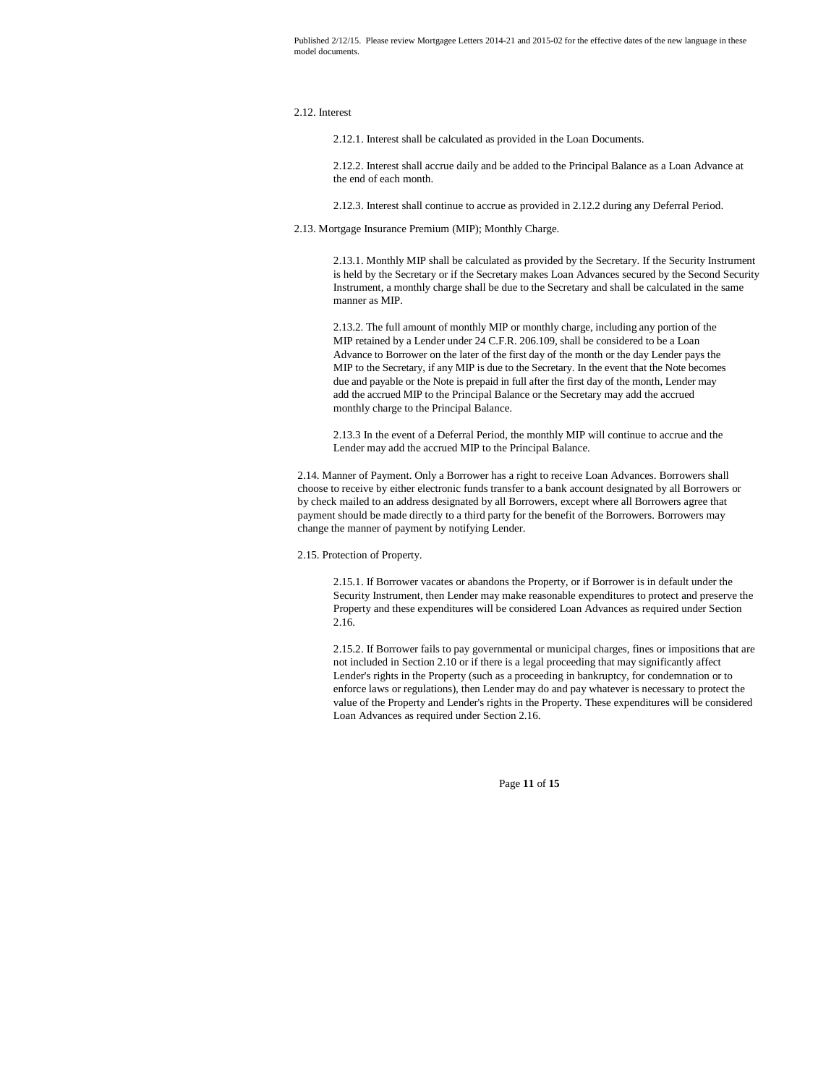## 2.12. Interest

2.12.1. Interest shall be calculated as provided in the Loan Documents.

2.12.2. Interest shall accrue daily and be added to the Principal Balance as a Loan Advance at the end of each month.

2.12.3. Interest shall continue to accrue as provided in 2.12.2 during any Deferral Period.

2.13. Mortgage Insurance Premium (MIP); Monthly Charge.

2.13.1. Monthly MIP shall be calculated as provided by the Secretary. If the Security Instrument is held by the Secretary or if the Secretary makes Loan Advances secured by the Second Security Instrument, a monthly charge shall be due to the Secretary and shall be calculated in the same manner as MIP.

2.13.2. The full amount of monthly MIP or monthly charge, including any portion of the MIP retained by a Lender under 24 C.F.R. 206.109, shall be considered to be a Loan Advance to Borrower on the later of the first day of the month or the day Lender pays the MIP to the Secretary, if any MIP is due to the Secretary. In the event that the Note becomes due and payable or the Note is prepaid in full after the first day of the month, Lender may add the accrued MIP to the Principal Balance or the Secretary may add the accrued monthly charge to the Principal Balance.

2.13.3 In the event of a Deferral Period, the monthly MIP will continue to accrue and the Lender may add the accrued MIP to the Principal Balance.

2.14. Manner of Payment. Only a Borrower has a right to receive Loan Advances. Borrowers shall choose to receive by either electronic funds transfer to a bank account designated by all Borrowers or by check mailed to an address designated by all Borrowers, except where all Borrowers agree that payment should be made directly to a third party for the benefit of the Borrowers. Borrowers may change the manner of payment by notifying Lender.

2.15. Protection of Property.

2.15.1. If Borrower vacates or abandons the Property, or if Borrower is in default under the Security Instrument, then Lender may make reasonable expenditures to protect and preserve the Property and these expenditures will be considered Loan Advances as required under Section 2.16.

2.15.2. If Borrower fails to pay governmental or municipal charges, fines or impositions that are not included in Section 2.10 or if there is a legal proceeding that may significantly affect Lender's rights in the Property (such as a proceeding in bankruptcy, for condemnation or to enforce laws or regulations), then Lender may do and pay whatever is necessary to protect the value of the Property and Lender's rights in the Property. These expenditures will be considered Loan Advances as required under Section 2.16.

Page **11** of **15**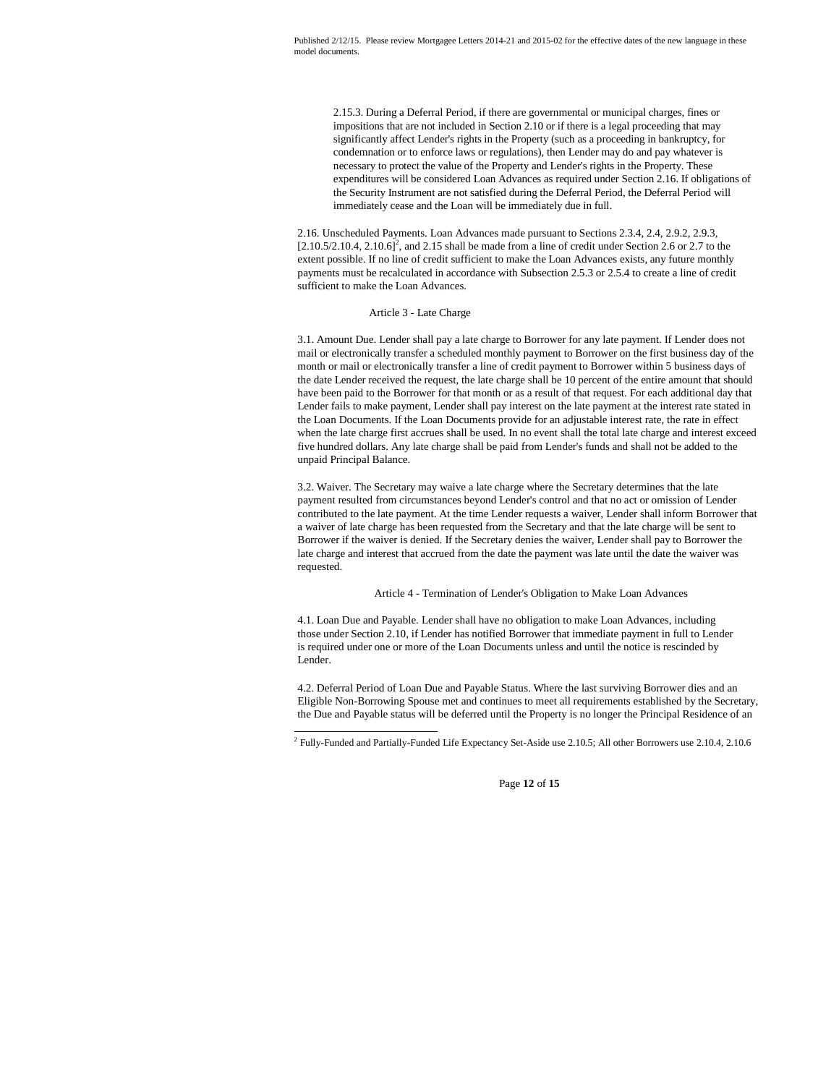2.15.3. During a Deferral Period, if there are governmental or municipal charges, fines or impositions that are not included in Section 2.10 or if there is a legal proceeding that may significantly affect Lender's rights in the Property (such as a proceeding in bankruptcy, for condemnation or to enforce laws or regulations), then Lender may do and pay whatever is necessary to protect the value of the Property and Lender's rights in the Property. These expenditures will be considered Loan Advances as required under Section 2.16. If obligations of the Security Instrument are not satisfied during the Deferral Period, the Deferral Period will immediately cease and the Loan will be immediately due in full.

2.16. Unscheduled Payments. Loan Advances made pursuant to Sections 2.3.4, 2.4, 2.9.2, 2.9.3,  $[2.10.5/2.10.4, 2.10.6]^2$ , and 2.15 shall be made from a line of credit under Section 2.6 or 2.7 to the extent possible. If no line of credit sufficient to make the Loan Advances exists, any future monthly payments must be recalculated in accordance with Subsection 2.5.3 or 2.5.4 to create a line of credit sufficient to make the Loan Advances.

## Article 3 - Late Charge

3.1. Amount Due. Lender shall pay a late charge to Borrower for any late payment. If Lender does not mail or electronically transfer a scheduled monthly payment to Borrower on the first business day of the month or mail or electronically transfer a line of credit payment to Borrower within 5 business days of the date Lender received the request, the late charge shall be 10 percent of the entire amount that should have been paid to the Borrower for that month or as a result of that request. For each additional day that Lender fails to make payment, Lender shall pay interest on the late payment at the interest rate stated in the Loan Documents. If the Loan Documents provide for an adjustable interest rate, the rate in effect when the late charge first accrues shall be used. In no event shall the total late charge and interest exceed five hundred dollars. Any late charge shall be paid from Lender's funds and shall not be added to the unpaid Principal Balance.

3.2. Waiver. The Secretary may waive a late charge where the Secretary determines that the late payment resulted from circumstances beyond Lender's control and that no act or omission of Lender contributed to the late payment. At the time Lender requests a waiver, Lender shall inform Borrower that a waiver of late charge has been requested from the Secretary and that the late charge will be sent to Borrower if the waiver is denied. If the Secretary denies the waiver, Lender shall pay to Borrower the late charge and interest that accrued from the date the payment was late until the date the waiver was requested.

Article 4 - Termination of Lender's Obligation to Make Loan Advances

4.1. Loan Due and Payable. Lender shall have no obligation to make Loan Advances, including those under Section 2.10, if Lender has notified Borrower that immediate payment in full to Lender is required under one or more of the Loan Documents unless and until the notice is rescinded by Lender.

4.2. Deferral Period of Loan Due and Payable Status. Where the last surviving Borrower dies and an Eligible Non-Borrowing Spouse met and continues to meet all requirements established by the Secretary, the Due and Payable status will be deferred until the Property is no longer the Principal Residence of an

Page **12** of **15**

<sup>&</sup>lt;sup>2</sup> Fully-Funded and Partially-Funded Life Expectancy Set-Aside use 2.10.5; All other Borrowers use 2.10.4, 2.10.6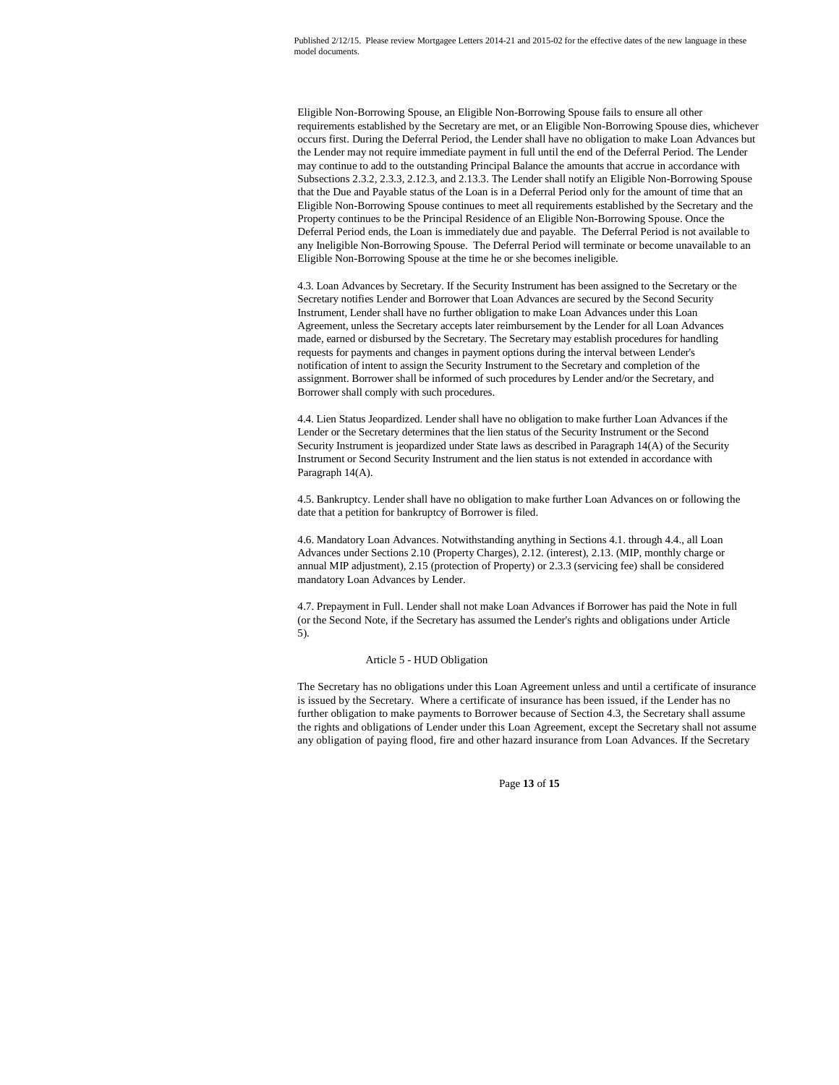Eligible Non-Borrowing Spouse, an Eligible Non-Borrowing Spouse fails to ensure all other requirements established by the Secretary are met, or an Eligible Non-Borrowing Spouse dies, whichever occurs first. During the Deferral Period, the Lender shall have no obligation to make Loan Advances but the Lender may not require immediate payment in full until the end of the Deferral Period. The Lender may continue to add to the outstanding Principal Balance the amounts that accrue in accordance with Subsections 2.3.2, 2.3.3, 2.12.3, and 2.13.3. The Lender shall notify an Eligible Non-Borrowing Spouse that the Due and Payable status of the Loan is in a Deferral Period only for the amount of time that an Eligible Non-Borrowing Spouse continues to meet all requirements established by the Secretary and the Property continues to be the Principal Residence of an Eligible Non-Borrowing Spouse. Once the Deferral Period ends, the Loan is immediately due and payable. The Deferral Period is not available to any Ineligible Non-Borrowing Spouse. The Deferral Period will terminate or become unavailable to an Eligible Non-Borrowing Spouse at the time he or she becomes ineligible.

4.3. Loan Advances by Secretary. If the Security Instrument has been assigned to the Secretary or the Secretary notifies Lender and Borrower that Loan Advances are secured by the Second Security Instrument, Lender shall have no further obligation to make Loan Advances under this Loan Agreement, unless the Secretary accepts later reimbursement by the Lender for all Loan Advances made, earned or disbursed by the Secretary. The Secretary may establish procedures for handling requests for payments and changes in payment options during the interval between Lender's notification of intent to assign the Security Instrument to the Secretary and completion of the assignment. Borrower shall be informed of such procedures by Lender and/or the Secretary, and Borrower shall comply with such procedures.

4.4. Lien Status Jeopardized. Lender shall have no obligation to make further Loan Advances if the Lender or the Secretary determines that the lien status of the Security Instrument or the Second Security Instrument is jeopardized under State laws as described in Paragraph 14(A) of the Security Instrument or Second Security Instrument and the lien status is not extended in accordance with Paragraph 14(A).

4.5. Bankruptcy. Lender shall have no obligation to make further Loan Advances on or following the date that a petition for bankruptcy of Borrower is filed.

4.6. Mandatory Loan Advances. Notwithstanding anything in Sections 4.1. through 4.4., all Loan Advances under Sections 2.10 (Property Charges), 2.12. (interest), 2.13. (MIP, monthly charge or annual MIP adjustment), 2.15 (protection of Property) or 2.3.3 (servicing fee) shall be considered mandatory Loan Advances by Lender.

4.7. Prepayment in Full. Lender shall not make Loan Advances if Borrower has paid the Note in full (or the Second Note, if the Secretary has assumed the Lender's rights and obligations under Article 5).

#### Article 5 - HUD Obligation

The Secretary has no obligations under this Loan Agreement unless and until a certificate of insurance is issued by the Secretary. Where a certificate of insurance has been issued, if the Lender has no further obligation to make payments to Borrower because of Section 4.3, the Secretary shall assume the rights and obligations of Lender under this Loan Agreement, except the Secretary shall not assume any obligation of paying flood, fire and other hazard insurance from Loan Advances. If the Secretary

Page **13** of **15**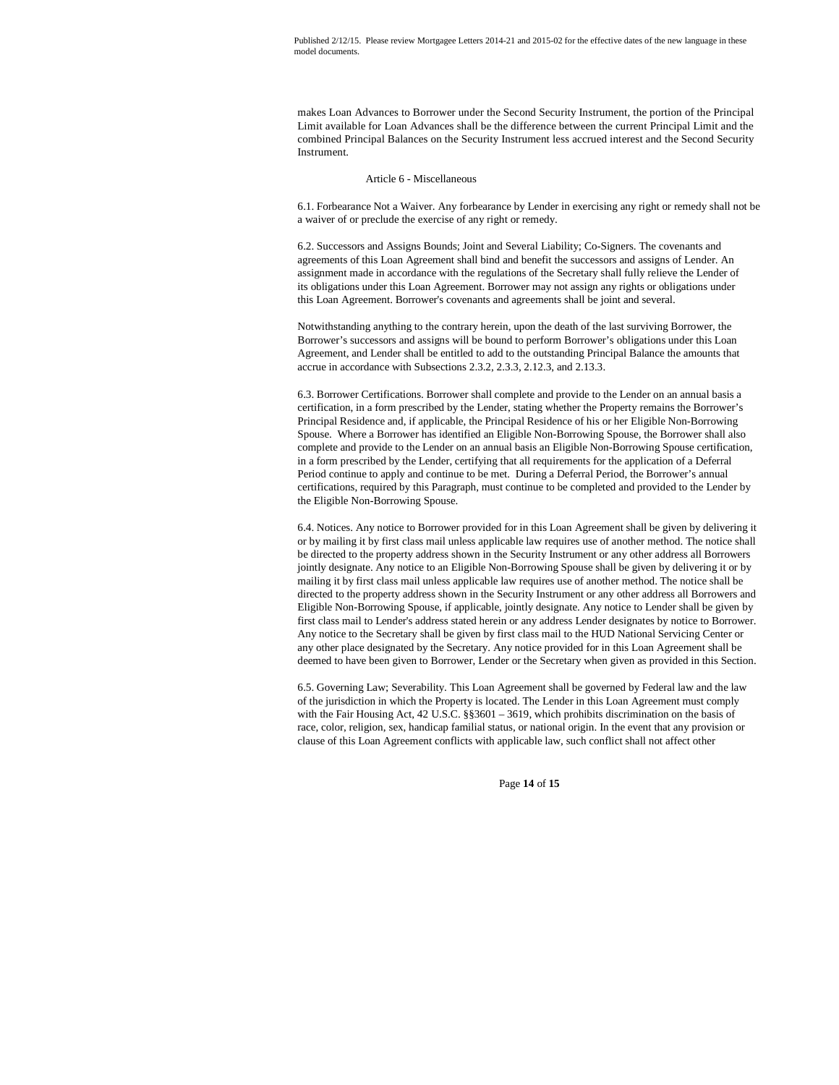makes Loan Advances to Borrower under the Second Security Instrument, the portion of the Principal Limit available for Loan Advances shall be the difference between the current Principal Limit and the combined Principal Balances on the Security Instrument less accrued interest and the Second Security Instrument.

## Article 6 - Miscellaneous

6.1. Forbearance Not a Waiver. Any forbearance by Lender in exercising any right or remedy shall not be a waiver of or preclude the exercise of any right or remedy.

6.2. Successors and Assigns Bounds; Joint and Several Liability; Co-Signers. The covenants and agreements of this Loan Agreement shall bind and benefit the successors and assigns of Lender. An assignment made in accordance with the regulations of the Secretary shall fully relieve the Lender of its obligations under this Loan Agreement. Borrower may not assign any rights or obligations under this Loan Agreement. Borrower's covenants and agreements shall be joint and several.

Notwithstanding anything to the contrary herein, upon the death of the last surviving Borrower, the Borrower's successors and assigns will be bound to perform Borrower's obligations under this Loan Agreement, and Lender shall be entitled to add to the outstanding Principal Balance the amounts that accrue in accordance with Subsections 2.3.2, 2.3.3, 2.12.3, and 2.13.3.

6.3. Borrower Certifications. Borrower shall complete and provide to the Lender on an annual basis a certification, in a form prescribed by the Lender, stating whether the Property remains the Borrower's Principal Residence and, if applicable, the Principal Residence of his or her Eligible Non-Borrowing Spouse. Where a Borrower has identified an Eligible Non-Borrowing Spouse, the Borrower shall also complete and provide to the Lender on an annual basis an Eligible Non-Borrowing Spouse certification, in a form prescribed by the Lender, certifying that all requirements for the application of a Deferral Period continue to apply and continue to be met. During a Deferral Period, the Borrower's annual certifications, required by this Paragraph, must continue to be completed and provided to the Lender by the Eligible Non-Borrowing Spouse.

6.4. Notices. Any notice to Borrower provided for in this Loan Agreement shall be given by delivering it or by mailing it by first class mail unless applicable law requires use of another method. The notice shall be directed to the property address shown in the Security Instrument or any other address all Borrowers jointly designate. Any notice to an Eligible Non-Borrowing Spouse shall be given by delivering it or by mailing it by first class mail unless applicable law requires use of another method. The notice shall be directed to the property address shown in the Security Instrument or any other address all Borrowers and Eligible Non-Borrowing Spouse, if applicable, jointly designate. Any notice to Lender shall be given by first class mail to Lender's address stated herein or any address Lender designates by notice to Borrower. Any notice to the Secretary shall be given by first class mail to the HUD National Servicing Center or any other place designated by the Secretary. Any notice provided for in this Loan Agreement shall be deemed to have been given to Borrower, Lender or the Secretary when given as provided in this Section.

6.5. Governing Law; Severability. This Loan Agreement shall be governed by Federal law and the law of the jurisdiction in which the Property is located. The Lender in this Loan Agreement must comply with the Fair Housing Act, 42 U.S.C. §§3601 – 3619, which prohibits discrimination on the basis of race, color, religion, sex, handicap familial status, or national origin. In the event that any provision or clause of this Loan Agreement conflicts with applicable law, such conflict shall not affect other

Page **14** of **15**